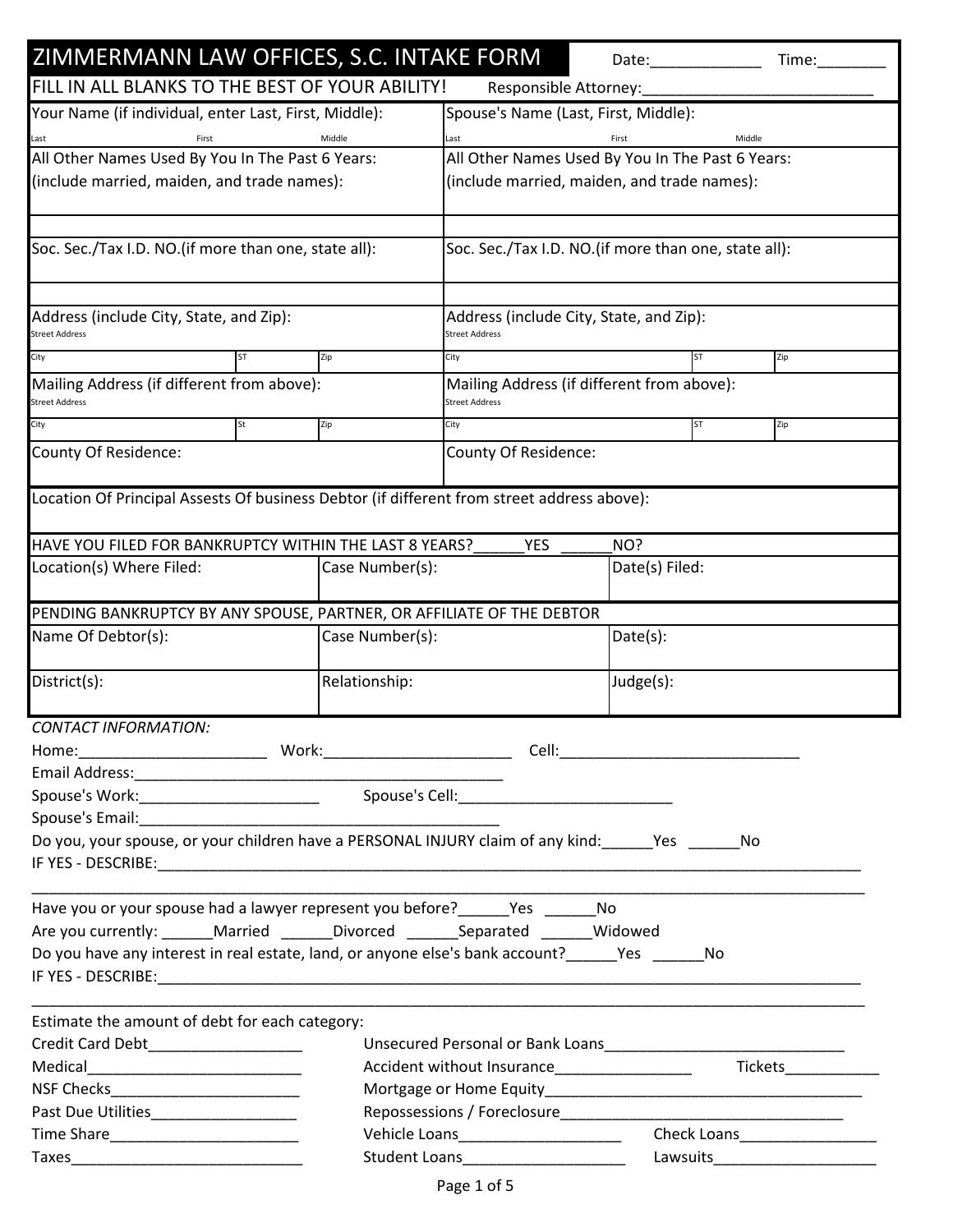| ZIMMERMANN LAW OFFICES, S.C. INTAKE FORM                                                                                                                                                                                       |                                                                                   |                                                                     | Date: the contract of the contract of the contract of the contract of the contract of the contract of the contract of the contract of the contract of the contract of the contract of the contract of the contract of the cont | Time:  |  |
|--------------------------------------------------------------------------------------------------------------------------------------------------------------------------------------------------------------------------------|-----------------------------------------------------------------------------------|---------------------------------------------------------------------|--------------------------------------------------------------------------------------------------------------------------------------------------------------------------------------------------------------------------------|--------|--|
| FILL IN ALL BLANKS TO THE BEST OF YOUR ABILITY!                                                                                                                                                                                |                                                                                   | Responsible Attorney:                                               |                                                                                                                                                                                                                                |        |  |
| Your Name (if individual, enter Last, First, Middle):                                                                                                                                                                          |                                                                                   | Spouse's Name (Last, First, Middle):                                |                                                                                                                                                                                                                                |        |  |
| Middle<br>First<br>Last                                                                                                                                                                                                        |                                                                                   | Last                                                                | First                                                                                                                                                                                                                          | Middle |  |
| All Other Names Used By You In The Past 6 Years:                                                                                                                                                                               |                                                                                   | All Other Names Used By You In The Past 6 Years:                    |                                                                                                                                                                                                                                |        |  |
| (include married, maiden, and trade names):                                                                                                                                                                                    |                                                                                   | (include married, maiden, and trade names):                         |                                                                                                                                                                                                                                |        |  |
|                                                                                                                                                                                                                                |                                                                                   |                                                                     |                                                                                                                                                                                                                                |        |  |
| Soc. Sec./Tax I.D. NO.(if more than one, state all):                                                                                                                                                                           |                                                                                   |                                                                     | Soc. Sec./Tax I.D. NO.(if more than one, state all):                                                                                                                                                                           |        |  |
|                                                                                                                                                                                                                                |                                                                                   |                                                                     |                                                                                                                                                                                                                                |        |  |
| Address (include City, State, and Zip):                                                                                                                                                                                        |                                                                                   | Address (include City, State, and Zip):                             |                                                                                                                                                                                                                                |        |  |
| <b>Street Address</b>                                                                                                                                                                                                          |                                                                                   |                                                                     | <b>Street Address</b>                                                                                                                                                                                                          |        |  |
| City<br><b>ST</b>                                                                                                                                                                                                              | Zip                                                                               | City                                                                | <b>ST</b>                                                                                                                                                                                                                      | Zip    |  |
| Mailing Address (if different from above):<br>Street Address                                                                                                                                                                   |                                                                                   | Mailing Address (if different from above):<br><b>Street Address</b> |                                                                                                                                                                                                                                |        |  |
| City<br>St                                                                                                                                                                                                                     | Zip                                                                               | City                                                                | <b>ST</b>                                                                                                                                                                                                                      | Zip    |  |
| County Of Residence:                                                                                                                                                                                                           |                                                                                   | County Of Residence:                                                |                                                                                                                                                                                                                                |        |  |
| Location Of Principal Assests Of business Debtor (if different from street address above):                                                                                                                                     |                                                                                   |                                                                     |                                                                                                                                                                                                                                |        |  |
|                                                                                                                                                                                                                                |                                                                                   |                                                                     |                                                                                                                                                                                                                                |        |  |
| HAVE YOU FILED FOR BANKRUPTCY WITHIN THE LAST 8 YEARS?                                                                                                                                                                         |                                                                                   | <b>YES</b>                                                          | NO?                                                                                                                                                                                                                            |        |  |
| Location(s) Where Filed:                                                                                                                                                                                                       | Case Number(s):                                                                   |                                                                     | Date(s) Filed:                                                                                                                                                                                                                 |        |  |
|                                                                                                                                                                                                                                |                                                                                   |                                                                     |                                                                                                                                                                                                                                |        |  |
| PENDING BANKRUPTCY BY ANY SPOUSE, PARTNER, OR AFFILIATE OF THE DEBTOR                                                                                                                                                          |                                                                                   |                                                                     |                                                                                                                                                                                                                                |        |  |
| Name Of Debtor(s):                                                                                                                                                                                                             | Case Number(s):                                                                   |                                                                     | Date(s):                                                                                                                                                                                                                       |        |  |
|                                                                                                                                                                                                                                |                                                                                   |                                                                     |                                                                                                                                                                                                                                |        |  |
| District(s):                                                                                                                                                                                                                   | Relationship:                                                                     |                                                                     | Judge(s):                                                                                                                                                                                                                      |        |  |
| <b>CONTACT INFORMATION:</b>                                                                                                                                                                                                    |                                                                                   |                                                                     |                                                                                                                                                                                                                                |        |  |
|                                                                                                                                                                                                                                |                                                                                   |                                                                     |                                                                                                                                                                                                                                |        |  |
|                                                                                                                                                                                                                                |                                                                                   |                                                                     |                                                                                                                                                                                                                                |        |  |
|                                                                                                                                                                                                                                |                                                                                   |                                                                     |                                                                                                                                                                                                                                |        |  |
| Spouse's Email: The Contract of the Contract of the Contract of the Contract of the Contract of the Contract of the Contract of the Contract of the Contract of the Contract of the Contract of the Contract of the Contract o |                                                                                   |                                                                     |                                                                                                                                                                                                                                |        |  |
| Do you, your spouse, or your children have a PERSONAL INJURY claim of any kind: Yes Yes No                                                                                                                                     |                                                                                   |                                                                     |                                                                                                                                                                                                                                |        |  |
|                                                                                                                                                                                                                                |                                                                                   |                                                                     |                                                                                                                                                                                                                                |        |  |
|                                                                                                                                                                                                                                |                                                                                   |                                                                     |                                                                                                                                                                                                                                |        |  |
| Have you or your spouse had a lawyer represent you before? Yes No                                                                                                                                                              |                                                                                   |                                                                     |                                                                                                                                                                                                                                |        |  |
| Are you currently: _______Married _______Divorced ________Separated _______Widowed                                                                                                                                             |                                                                                   |                                                                     |                                                                                                                                                                                                                                |        |  |
| Do you have any interest in real estate, land, or anyone else's bank account?______Yes ________No                                                                                                                              |                                                                                   |                                                                     |                                                                                                                                                                                                                                |        |  |
|                                                                                                                                                                                                                                |                                                                                   |                                                                     |                                                                                                                                                                                                                                |        |  |
| Estimate the amount of debt for each category:                                                                                                                                                                                 |                                                                                   |                                                                     |                                                                                                                                                                                                                                |        |  |
| Credit Card Debt______________________                                                                                                                                                                                         |                                                                                   |                                                                     |                                                                                                                                                                                                                                |        |  |
|                                                                                                                                                                                                                                | Unsecured Personal or Bank Loans<br>Accident without Insurance___________________ |                                                                     | Tickets______________                                                                                                                                                                                                          |        |  |
|                                                                                                                                                                                                                                |                                                                                   |                                                                     |                                                                                                                                                                                                                                |        |  |
| Past Due Utilities_____________________                                                                                                                                                                                        |                                                                                   |                                                                     |                                                                                                                                                                                                                                |        |  |
|                                                                                                                                                                                                                                |                                                                                   | Vehicle Loans [1995] [1996] March 2014                              |                                                                                                                                                                                                                                |        |  |
|                                                                                                                                                                                                                                |                                                                                   | Student Loans_______________________                                |                                                                                                                                                                                                                                |        |  |
|                                                                                                                                                                                                                                |                                                                                   |                                                                     |                                                                                                                                                                                                                                |        |  |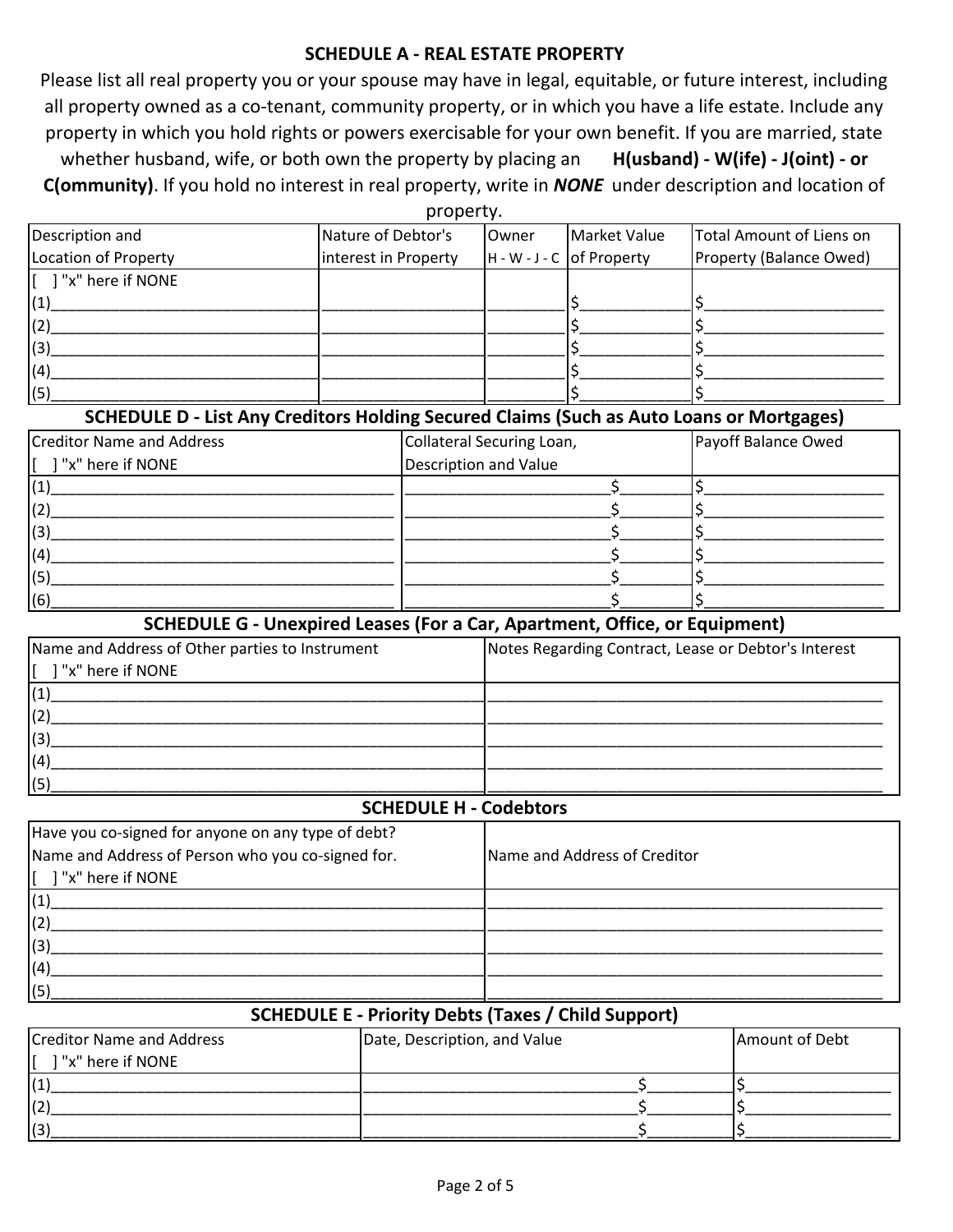#### **SCHEDULE A - REAL ESTATE PROPERTY**

Please list all real property you or your spouse may have in legal, equitable, or future interest, including all property owned as a co-tenant, community property, or in which you have a life estate. Include any property in which you hold rights or powers exercisable for your own benefit. If you are married, state whether husband, wife, or both own the property by placing an **H(usband) - W(ife) - J(oint) - or C(ommunity)**. If you hold no interest in real property, write in *NONE* under description and location of

| property.                                               |                      |       |                             |                          |  |
|---------------------------------------------------------|----------------------|-------|-----------------------------|--------------------------|--|
| Description and                                         | Nature of Debtor's   | Owner | <b>Market Value</b>         | Total Amount of Liens on |  |
| Location of Property                                    | interest in Property |       | $H - W - J - C$ of Property | Property (Balance Owed)  |  |
| $\begin{bmatrix} 1 \\ 2 \end{bmatrix}$ "x" here if NONE |                      |       |                             |                          |  |
| $\vert(1)$                                              |                      |       |                             |                          |  |
| (2)                                                     |                      |       |                             |                          |  |
| (3)                                                     |                      |       |                             |                          |  |
| (4)                                                     |                      |       |                             |                          |  |
| (5)                                                     |                      |       |                             |                          |  |

### **SCHEDULE D - List Any Creditors Holding Secured Claims (Such as Auto Loans or Mortgages)**

| <b>Creditor Name and Address</b>                        | Collateral Securing Loan, | Payoff Balance Owed |
|---------------------------------------------------------|---------------------------|---------------------|
| $\begin{bmatrix} 1 \\ 2 \end{bmatrix}$ "x" here if NONE | Description and Value     |                     |
| (1)                                                     |                           |                     |
| (2)                                                     |                           |                     |
| (3)                                                     |                           |                     |
| (4)                                                     |                           |                     |
| (5)                                                     |                           |                     |
| (6)                                                     |                           |                     |

#### **SCHEDULE G - Unexpired Leases (For a Car, Apartment, Office, or Equipment)**

| Name and Address of Other parties to Instrument                                                | Notes Regarding Contract, Lease or Debtor's Interest |
|------------------------------------------------------------------------------------------------|------------------------------------------------------|
| $\left[\begin{array}{cc} 1 & \text{''x}^{\text{''}} & \text{here if } NONE \end{array}\right]$ |                                                      |
| $\vert(1)$                                                                                     |                                                      |
|                                                                                                |                                                      |
| (3)                                                                                            |                                                      |
| (4)                                                                                            |                                                      |
| (5)                                                                                            |                                                      |

#### **SCHEDULE H - Codebtors**

| Have you co-signed for anyone on any type of debt?      |                              |  |
|---------------------------------------------------------|------------------------------|--|
| Name and Address of Person who you co-signed for.       | Name and Address of Creditor |  |
| $\begin{bmatrix} 1 \\ 2 \end{bmatrix}$ "x" here if NONE |                              |  |
| (1)                                                     |                              |  |
| (2)                                                     |                              |  |
| (3)                                                     |                              |  |
| (4)                                                     |                              |  |
| (5)                                                     |                              |  |

### **SCHEDULE E - Priority Debts (Taxes / Child Support)**

| Creditor Name and Address | Date, Description, and Value | Amount of Debt |
|---------------------------|------------------------------|----------------|
| ] "x" here if NONE        |                              |                |
|                           |                              |                |
| (2)                       |                              |                |
| (3)                       |                              |                |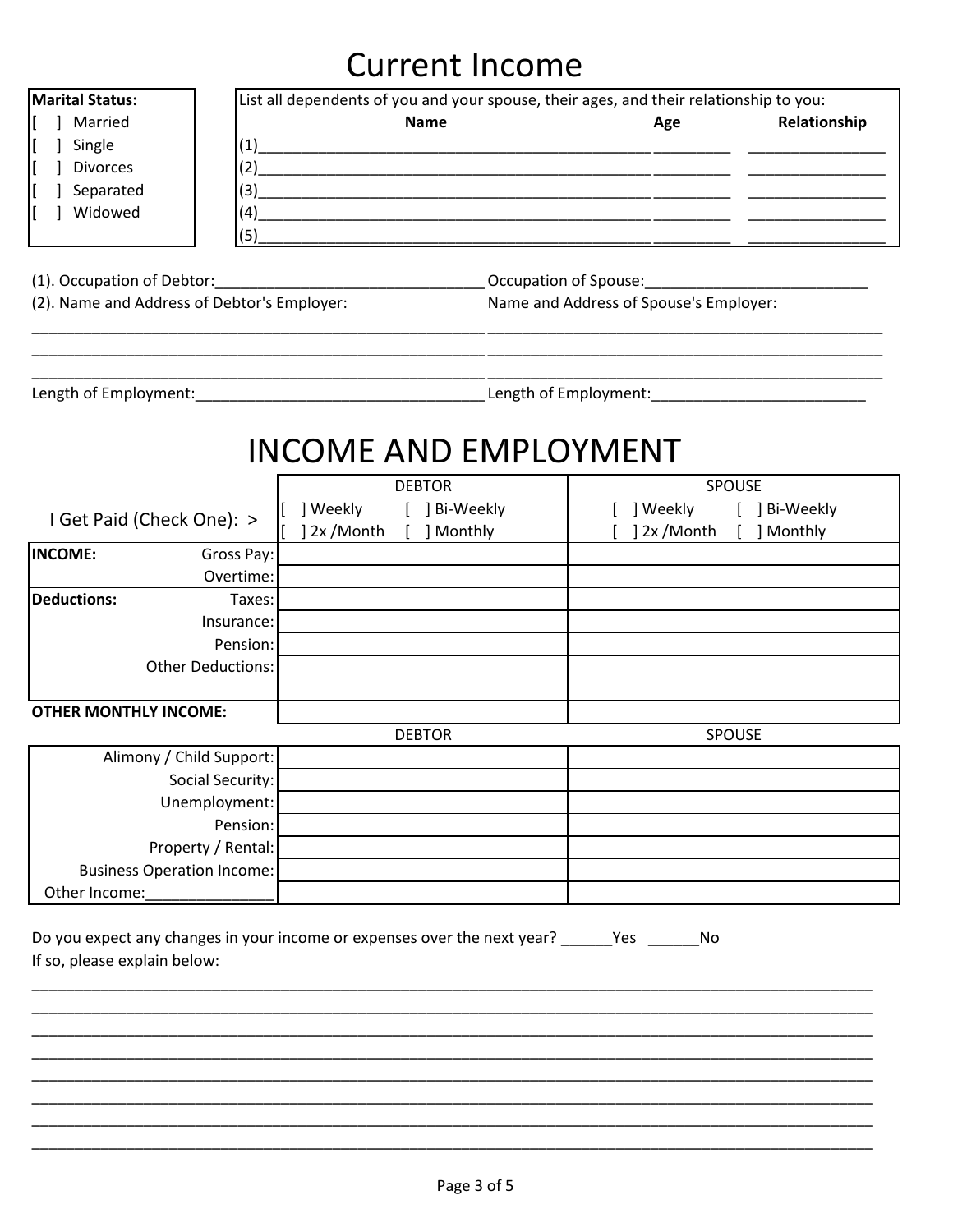# **Current Income**

| Marital Status:<br>Married<br>Single<br><b>Divorces</b><br>Separated<br>] Widowed<br>(5)                                                              | List all dependents of you and your spouse, their ages, and their relationship to you:<br><b>Name</b> | Age                                                           | Relationship |
|-------------------------------------------------------------------------------------------------------------------------------------------------------|-------------------------------------------------------------------------------------------------------|---------------------------------------------------------------|--------------|
| (2). Name and Address of Debtor's Employer:                                                                                                           |                                                                                                       | Name and Address of Spouse's Employer:                        |              |
|                                                                                                                                                       | <b>INCOME AND EMPLOYMENT</b>                                                                          |                                                               |              |
| I Get Paid (Check One): >                                                                                                                             | <b>DEBTOR</b><br>] Weekly [ ] Bi-Weekly<br>] 2x / Month [ ] Monthly                                   | SPOUSE<br>[ ] Weekly [ ] Bi-Weekly<br>] 2x /Month [ ] Monthly |              |
| <b>INCOME:</b><br>Gross Pay:                                                                                                                          |                                                                                                       |                                                               |              |
| Overtime:<br>Deductions:<br>Taxes:                                                                                                                    |                                                                                                       |                                                               |              |
| Insurance:<br>Pension:<br><b>Other Deductions:</b>                                                                                                    |                                                                                                       |                                                               |              |
| <b>OTHER MONTHLY INCOME:</b>                                                                                                                          |                                                                                                       |                                                               |              |
|                                                                                                                                                       | <b>DEBTOR</b>                                                                                         | SPOUSE                                                        |              |
| Alimony / Child Support:<br>Social Security:<br>Unemployment:<br>Pension:<br>Property / Rental:<br><b>Business Operation Income:</b><br>Other Income: |                                                                                                       |                                                               |              |
| If so, please explain below:                                                                                                                          | Do you expect any changes in your income or expenses over the next year? ______Yes _______No          |                                                               |              |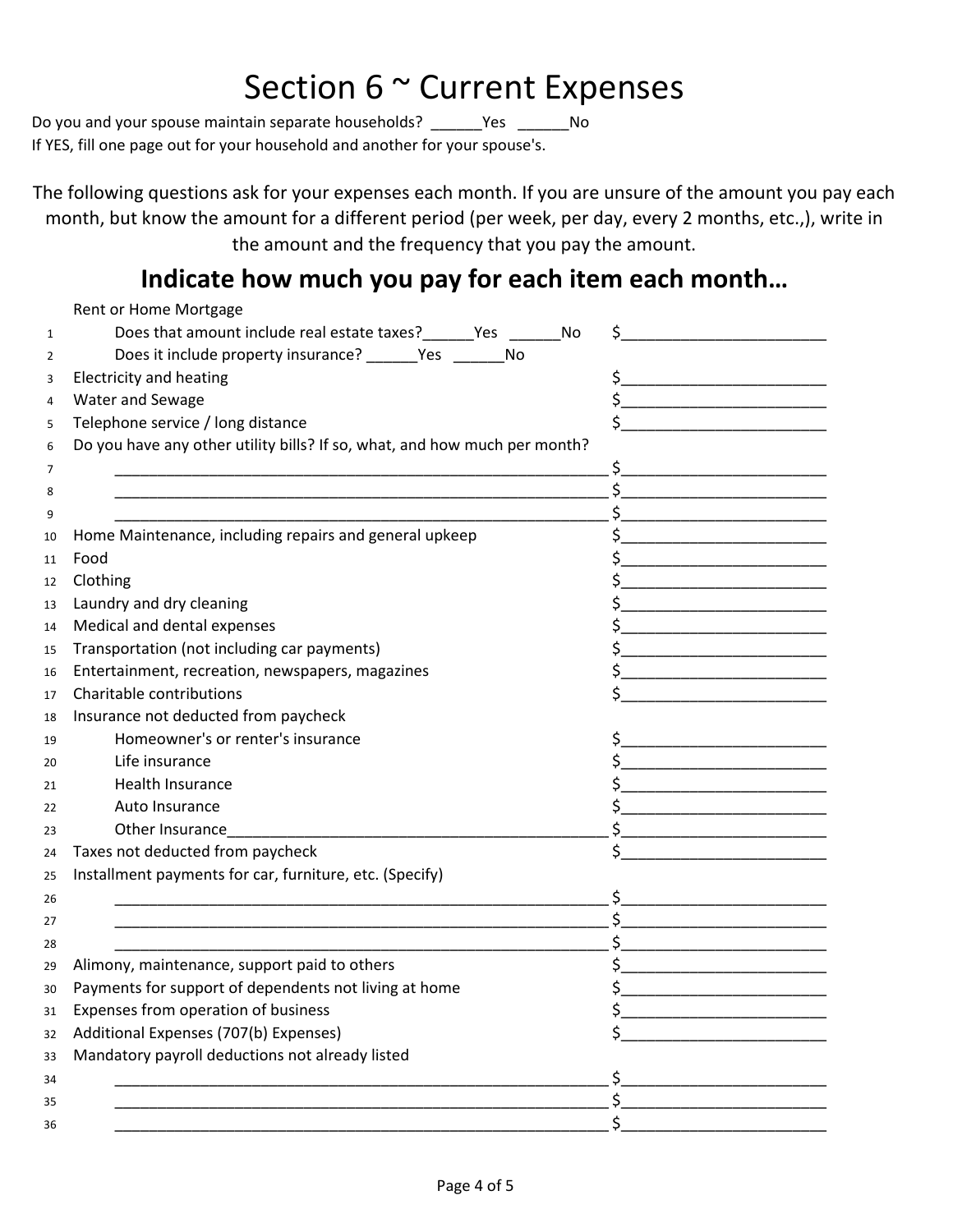# Section 6 ~ Current Expenses

Do you and your spouse maintain separate households? \_\_\_\_\_\_Yes \_\_\_\_\_\_No If YES, fill one page out for your household and another for your spouse's.

The following questions ask for your expenses each month. If you are unsure of the amount you pay each month, but know the amount for a different period (per week, per day, every 2 months, etc.,), write in the amount and the frequency that you pay the amount.

## **Indicate how much you pay for each item each month…**

|              | Rent or Home Mortgage                                                                                                 |                                                                                                                                                                                                                                                                                                                                                                     |
|--------------|-----------------------------------------------------------------------------------------------------------------------|---------------------------------------------------------------------------------------------------------------------------------------------------------------------------------------------------------------------------------------------------------------------------------------------------------------------------------------------------------------------|
| $\mathbf{1}$ | Does that amount include real estate taxes?_______Yes ________No                                                      | \$.                                                                                                                                                                                                                                                                                                                                                                 |
| 2            | Does it include property insurance? _______Yes __________No                                                           |                                                                                                                                                                                                                                                                                                                                                                     |
| 3            | <b>Electricity and heating</b>                                                                                        | $\frac{1}{2}$                                                                                                                                                                                                                                                                                                                                                       |
| 4            | Water and Sewage                                                                                                      | $\begin{picture}(20,10) \put(0,0){\vector(1,0){100}} \put(15,0){\vector(1,0){100}} \put(15,0){\vector(1,0){100}} \put(15,0){\vector(1,0){100}} \put(15,0){\vector(1,0){100}} \put(15,0){\vector(1,0){100}} \put(15,0){\vector(1,0){100}} \put(15,0){\vector(1,0){100}} \put(15,0){\vector(1,0){100}} \put(15,0){\vector(1,0){100}} \put(15,0){\vector(1,0){100}} \$ |
| 5            | Telephone service / long distance                                                                                     | \$<br><u> 1989 - Johann Barbara, martin a</u>                                                                                                                                                                                                                                                                                                                       |
| 6            | Do you have any other utility bills? If so, what, and how much per month?                                             |                                                                                                                                                                                                                                                                                                                                                                     |
| 7            |                                                                                                                       | $\sim$                                                                                                                                                                                                                                                                                                                                                              |
| 8            | <u> 1989 - Johann John Stoff, deutscher Stoffen und der Stoffen und der Stoffen und der Stoffen und der Stoffen u</u> | $\frac{1}{2}$                                                                                                                                                                                                                                                                                                                                                       |
| 9            |                                                                                                                       | $\begin{picture}(20,10) \put(0,0){\vector(1,0){100}} \put(15,0){\vector(1,0){100}} \put(15,0){\vector(1,0){100}} \put(15,0){\vector(1,0){100}} \put(15,0){\vector(1,0){100}} \put(15,0){\vector(1,0){100}} \put(15,0){\vector(1,0){100}} \put(15,0){\vector(1,0){100}} \put(15,0){\vector(1,0){100}} \put(15,0){\vector(1,0){100}} \put(15,0){\vector(1,0){100}} \$ |
| 10           | Home Maintenance, including repairs and general upkeep                                                                | $\begin{picture}(20,10) \put(0,0){\line(1,0){10}} \put(15,0){\line(1,0){10}} \put(15,0){\line(1,0){10}} \put(15,0){\line(1,0){10}} \put(15,0){\line(1,0){10}} \put(15,0){\line(1,0){10}} \put(15,0){\line(1,0){10}} \put(15,0){\line(1,0){10}} \put(15,0){\line(1,0){10}} \put(15,0){\line(1,0){10}} \put(15,0){\line(1,0){10}} \put(15,0){\line(1$                 |
| 11           | Food                                                                                                                  |                                                                                                                                                                                                                                                                                                                                                                     |
| 12           | Clothing                                                                                                              | $\frac{1}{2}$                                                                                                                                                                                                                                                                                                                                                       |
| 13           | Laundry and dry cleaning                                                                                              | $\frac{1}{2}$                                                                                                                                                                                                                                                                                                                                                       |
| 14           | Medical and dental expenses                                                                                           | \$                                                                                                                                                                                                                                                                                                                                                                  |
| 15           | Transportation (not including car payments)                                                                           | $\frac{1}{2}$                                                                                                                                                                                                                                                                                                                                                       |
| 16           | Entertainment, recreation, newspapers, magazines                                                                      | $\frac{1}{2}$                                                                                                                                                                                                                                                                                                                                                       |
| 17           | Charitable contributions                                                                                              | $\frac{1}{2}$                                                                                                                                                                                                                                                                                                                                                       |
| 18           | Insurance not deducted from paycheck                                                                                  |                                                                                                                                                                                                                                                                                                                                                                     |
| 19           | Homeowner's or renter's insurance                                                                                     | $\frac{1}{2}$                                                                                                                                                                                                                                                                                                                                                       |
| 20           | Life insurance                                                                                                        |                                                                                                                                                                                                                                                                                                                                                                     |
| 21           | Health Insurance                                                                                                      | $\begin{picture}(20,10) \put(0,0){\line(1,0){10}} \put(15,0){\line(1,0){10}} \put(15,0){\line(1,0){10}} \put(15,0){\line(1,0){10}} \put(15,0){\line(1,0){10}} \put(15,0){\line(1,0){10}} \put(15,0){\line(1,0){10}} \put(15,0){\line(1,0){10}} \put(15,0){\line(1,0){10}} \put(15,0){\line(1,0){10}} \put(15,0){\line(1,0){10}} \put(15,0){\line(1$                 |
| 22           | Auto Insurance                                                                                                        | $\frac{1}{2}$                                                                                                                                                                                                                                                                                                                                                       |
| 23           | Other Insurance                                                                                                       | $\mathsf{\$}$                                                                                                                                                                                                                                                                                                                                                       |
| 24           | Taxes not deducted from paycheck                                                                                      | $\frac{1}{2}$                                                                                                                                                                                                                                                                                                                                                       |
| 25           | Installment payments for car, furniture, etc. (Specify)                                                               |                                                                                                                                                                                                                                                                                                                                                                     |
| 26           |                                                                                                                       | $\begin{picture}(20,10) \put(0,0){\vector(1,0){100}} \put(15,0){\vector(1,0){100}} \put(15,0){\vector(1,0){100}} \put(15,0){\vector(1,0){100}} \put(15,0){\vector(1,0){100}} \put(15,0){\vector(1,0){100}} \put(15,0){\vector(1,0){100}} \put(15,0){\vector(1,0){100}} \put(15,0){\vector(1,0){100}} \put(15,0){\vector(1,0){100}} \put(15,0){\vector(1,0){100}} \$ |
| 27           |                                                                                                                       | $\begin{array}{c c} \n5 & \longrightarrow & \n\end{array}$                                                                                                                                                                                                                                                                                                          |
| 28           |                                                                                                                       | $\begin{picture}(20,10) \put(0,0){\vector(1,0){100}} \put(15,0){\vector(1,0){100}} \put(15,0){\vector(1,0){100}} \put(15,0){\vector(1,0){100}} \put(15,0){\vector(1,0){100}} \put(15,0){\vector(1,0){100}} \put(15,0){\vector(1,0){100}} \put(15,0){\vector(1,0){100}} \put(15,0){\vector(1,0){100}} \put(15,0){\vector(1,0){100}} \put(15,0){\vector(1,0){100}} \$ |
| 29           | Alimony, maintenance, support paid to others                                                                          |                                                                                                                                                                                                                                                                                                                                                                     |
| 30           | Payments for support of dependents not living at home                                                                 | \$                                                                                                                                                                                                                                                                                                                                                                  |
| 31           | Expenses from operation of business                                                                                   | \$                                                                                                                                                                                                                                                                                                                                                                  |
| 32           | Additional Expenses (707(b) Expenses)                                                                                 | \$                                                                                                                                                                                                                                                                                                                                                                  |
| 33           | Mandatory payroll deductions not already listed                                                                       |                                                                                                                                                                                                                                                                                                                                                                     |
| 34           |                                                                                                                       | \$                                                                                                                                                                                                                                                                                                                                                                  |
| 35           |                                                                                                                       | $\sharp$                                                                                                                                                                                                                                                                                                                                                            |
| 36           |                                                                                                                       | \$                                                                                                                                                                                                                                                                                                                                                                  |
|              |                                                                                                                       |                                                                                                                                                                                                                                                                                                                                                                     |